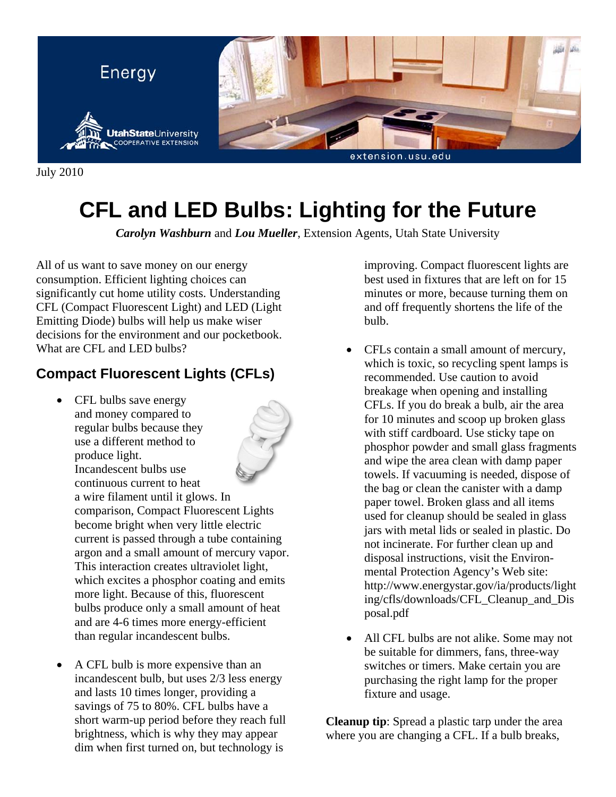

July 2010

# **CFL and LED Bulbs: Lighting for the Future**

*Carolyn Washburn* and *Lou Mueller*, Extension Agents, Utah State University

All of us want to save money on our energy consumption. Efficient lighting choices can significantly cut home utility costs. Understanding CFL (Compact Fluorescent Light) and LED (Light Emitting Diode) bulbs will help us make wiser decisions for the environment and our pocketbook. What are CFL and LED bulbs?

#### **Compact Fluorescent Lights (CFLs)**

• CFL bulbs save energy and money compared to regular bulbs because they use a different method to produce light. Incandescent bulbs use



continuous current to heat a wire filament until it glows. In comparison, Compact Fluorescent Lights become bright when very little electric current is passed through a tube containing argon and a small amount of mercury vapor. This interaction creates ultraviolet light, which excites a phosphor coating and emits more light. Because of this, fluorescent bulbs produce only a small amount of heat and are 4-6 times more energy-efficient than regular incandescent bulbs.

• A CFL bulb is more expensive than an incandescent bulb, but uses 2/3 less energy and lasts 10 times longer, providing a savings of 75 to 80%. CFL bulbs have a short warm-up period before they reach full brightness, which is why they may appear dim when first turned on, but technology is

improving. Compact fluorescent lights are best used in fixtures that are left on for 15 minutes or more, because turning them on and off frequently shortens the life of the bulb.

- CFLs contain a small amount of mercury, which is toxic, so recycling spent lamps is recommended. Use caution to avoid breakage when opening and installing CFLs. If you do break a bulb, air the area for 10 minutes and scoop up broken glass with stiff cardboard. Use sticky tape on phosphor powder and small glass fragments and wipe the area clean with damp paper towels. If vacuuming is needed, dispose of the bag or clean the canister with a damp paper towel. Broken glass and all items used for cleanup should be sealed in glass jars with metal lids or sealed in plastic. Do not incinerate. For further clean up and disposal instructions, visit the Environmental Protection Agency's Web site: http://www.energystar.gov/ia/products/light ing/cfls/downloads/CFL\_Cleanup\_and\_Dis posal.pdf
- All CFL bulbs are not alike. Some may not be suitable for dimmers, fans, three-way switches or timers. Make certain you are purchasing the right lamp for the proper fixture and usage.

**Cleanup tip**: Spread a plastic tarp under the area where you are changing a CFL. If a bulb breaks,